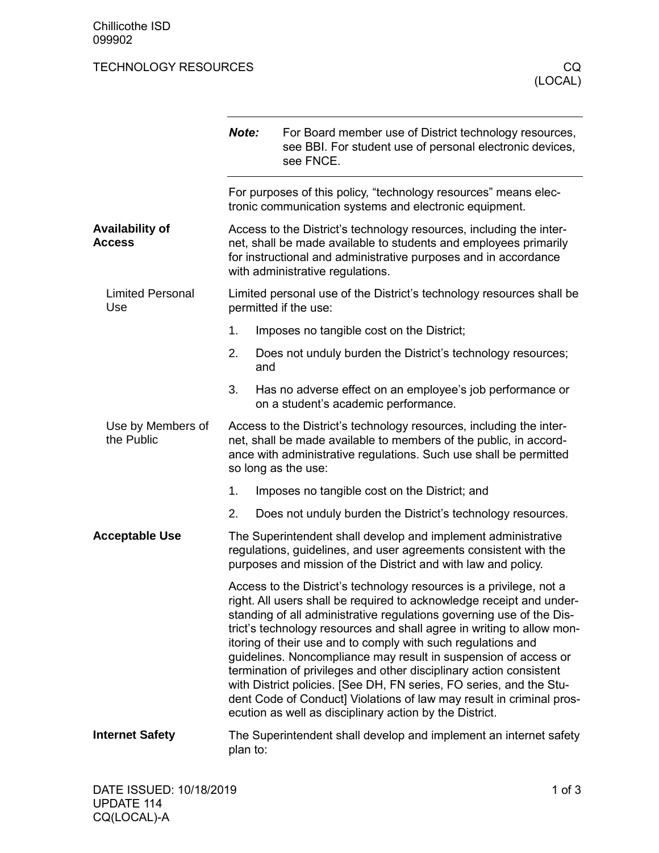## TECHNOLOGY RESOURCES CO.

|                                         | Note:                                                                                                                                                                                                                                                                                                                                                                                                                                                                                                                                                                                                                                                                                                           | For Board member use of District technology resources,<br>see BBI. For student use of personal electronic devices,<br>see FNCE. |  |  |
|-----------------------------------------|-----------------------------------------------------------------------------------------------------------------------------------------------------------------------------------------------------------------------------------------------------------------------------------------------------------------------------------------------------------------------------------------------------------------------------------------------------------------------------------------------------------------------------------------------------------------------------------------------------------------------------------------------------------------------------------------------------------------|---------------------------------------------------------------------------------------------------------------------------------|--|--|
|                                         | For purposes of this policy, "technology resources" means elec-<br>tronic communication systems and electronic equipment.                                                                                                                                                                                                                                                                                                                                                                                                                                                                                                                                                                                       |                                                                                                                                 |  |  |
| <b>Availability of</b><br><b>Access</b> | Access to the District's technology resources, including the inter-<br>net, shall be made available to students and employees primarily<br>for instructional and administrative purposes and in accordance<br>with administrative regulations.                                                                                                                                                                                                                                                                                                                                                                                                                                                                  |                                                                                                                                 |  |  |
| <b>Limited Personal</b><br>Use          | Limited personal use of the District's technology resources shall be<br>permitted if the use:                                                                                                                                                                                                                                                                                                                                                                                                                                                                                                                                                                                                                   |                                                                                                                                 |  |  |
|                                         | 1.                                                                                                                                                                                                                                                                                                                                                                                                                                                                                                                                                                                                                                                                                                              | Imposes no tangible cost on the District;                                                                                       |  |  |
|                                         | 2.<br>and                                                                                                                                                                                                                                                                                                                                                                                                                                                                                                                                                                                                                                                                                                       | Does not unduly burden the District's technology resources;                                                                     |  |  |
|                                         | 3.                                                                                                                                                                                                                                                                                                                                                                                                                                                                                                                                                                                                                                                                                                              | Has no adverse effect on an employee's job performance or<br>on a student's academic performance.                               |  |  |
| Use by Members of<br>the Public         | Access to the District's technology resources, including the inter-<br>net, shall be made available to members of the public, in accord-<br>ance with administrative regulations. Such use shall be permitted<br>so long as the use:                                                                                                                                                                                                                                                                                                                                                                                                                                                                            |                                                                                                                                 |  |  |
|                                         | 1.                                                                                                                                                                                                                                                                                                                                                                                                                                                                                                                                                                                                                                                                                                              | Imposes no tangible cost on the District; and                                                                                   |  |  |
|                                         | 2.                                                                                                                                                                                                                                                                                                                                                                                                                                                                                                                                                                                                                                                                                                              | Does not unduly burden the District's technology resources.                                                                     |  |  |
| <b>Acceptable Use</b>                   | The Superintendent shall develop and implement administrative<br>regulations, guidelines, and user agreements consistent with the<br>purposes and mission of the District and with law and policy.                                                                                                                                                                                                                                                                                                                                                                                                                                                                                                              |                                                                                                                                 |  |  |
|                                         | Access to the District's technology resources is a privilege, not a<br>right. All users shall be required to acknowledge receipt and under-<br>standing of all administrative regulations governing use of the Dis-<br>trict's technology resources and shall agree in writing to allow mon-<br>itoring of their use and to comply with such regulations and<br>guidelines. Noncompliance may result in suspension of access or<br>termination of privileges and other disciplinary action consistent<br>with District policies. [See DH, FN series, FO series, and the Stu-<br>dent Code of Conduct] Violations of law may result in criminal pros-<br>ecution as well as disciplinary action by the District. |                                                                                                                                 |  |  |
| <b>Internet Safety</b>                  | The Superintendent shall develop and implement an internet safety<br>plan to:                                                                                                                                                                                                                                                                                                                                                                                                                                                                                                                                                                                                                                   |                                                                                                                                 |  |  |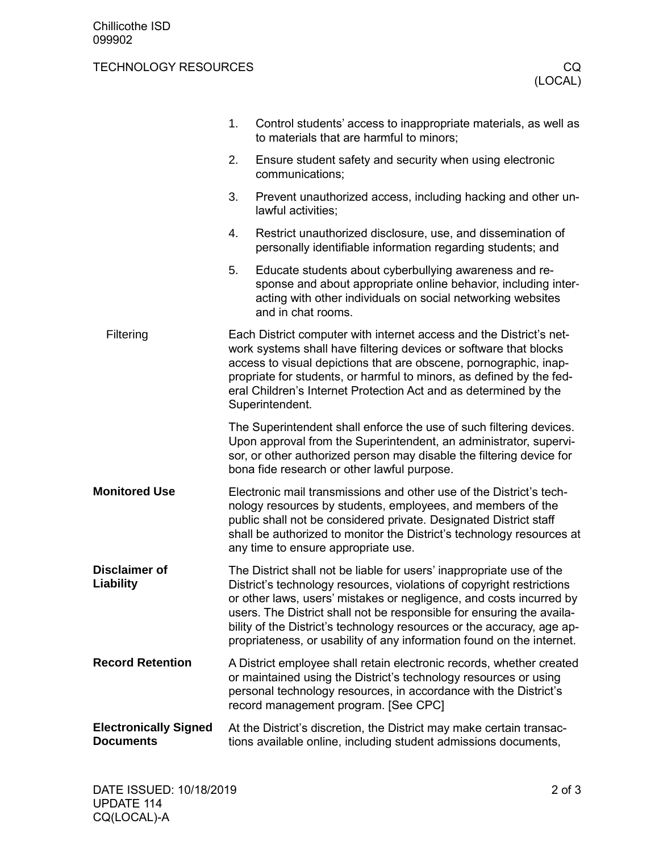## TECHNOLOGY RESOURCES CO.

|                                                  | 1.                                                                                                                                                                                                                                                                                                                                                                           | Control students' access to inappropriate materials, as well as<br>to materials that are harmful to minors;                                                                                                                                                                                                                                                                                                                                      |  |
|--------------------------------------------------|------------------------------------------------------------------------------------------------------------------------------------------------------------------------------------------------------------------------------------------------------------------------------------------------------------------------------------------------------------------------------|--------------------------------------------------------------------------------------------------------------------------------------------------------------------------------------------------------------------------------------------------------------------------------------------------------------------------------------------------------------------------------------------------------------------------------------------------|--|
|                                                  | 2.                                                                                                                                                                                                                                                                                                                                                                           | Ensure student safety and security when using electronic<br>communications;                                                                                                                                                                                                                                                                                                                                                                      |  |
|                                                  | 3.                                                                                                                                                                                                                                                                                                                                                                           | Prevent unauthorized access, including hacking and other un-<br>lawful activities;                                                                                                                                                                                                                                                                                                                                                               |  |
|                                                  | 4.                                                                                                                                                                                                                                                                                                                                                                           | Restrict unauthorized disclosure, use, and dissemination of<br>personally identifiable information regarding students; and                                                                                                                                                                                                                                                                                                                       |  |
|                                                  | 5.                                                                                                                                                                                                                                                                                                                                                                           | Educate students about cyberbullying awareness and re-<br>sponse and about appropriate online behavior, including inter-<br>acting with other individuals on social networking websites<br>and in chat rooms.                                                                                                                                                                                                                                    |  |
| Filtering                                        | Each District computer with internet access and the District's net-<br>work systems shall have filtering devices or software that blocks<br>access to visual depictions that are obscene, pornographic, inap-<br>propriate for students, or harmful to minors, as defined by the fed-<br>eral Children's Internet Protection Act and as determined by the<br>Superintendent. |                                                                                                                                                                                                                                                                                                                                                                                                                                                  |  |
|                                                  | The Superintendent shall enforce the use of such filtering devices.<br>Upon approval from the Superintendent, an administrator, supervi-<br>sor, or other authorized person may disable the filtering device for<br>bona fide research or other lawful purpose.                                                                                                              |                                                                                                                                                                                                                                                                                                                                                                                                                                                  |  |
| <b>Monitored Use</b>                             | Electronic mail transmissions and other use of the District's tech-<br>nology resources by students, employees, and members of the<br>public shall not be considered private. Designated District staff<br>shall be authorized to monitor the District's technology resources at<br>any time to ensure appropriate use.                                                      |                                                                                                                                                                                                                                                                                                                                                                                                                                                  |  |
| <b>Disclaimer of</b><br>Liability                |                                                                                                                                                                                                                                                                                                                                                                              | The District shall not be liable for users' inappropriate use of the<br>District's technology resources, violations of copyright restrictions<br>or other laws, users' mistakes or negligence, and costs incurred by<br>users. The District shall not be responsible for ensuring the availa-<br>bility of the District's technology resources or the accuracy, age ap-<br>propriateness, or usability of any information found on the internet. |  |
| <b>Record Retention</b>                          |                                                                                                                                                                                                                                                                                                                                                                              | A District employee shall retain electronic records, whether created<br>or maintained using the District's technology resources or using<br>personal technology resources, in accordance with the District's<br>record management program. [See CPC]                                                                                                                                                                                             |  |
| <b>Electronically Signed</b><br><b>Documents</b> | At the District's discretion, the District may make certain transac-<br>tions available online, including student admissions documents,                                                                                                                                                                                                                                      |                                                                                                                                                                                                                                                                                                                                                                                                                                                  |  |